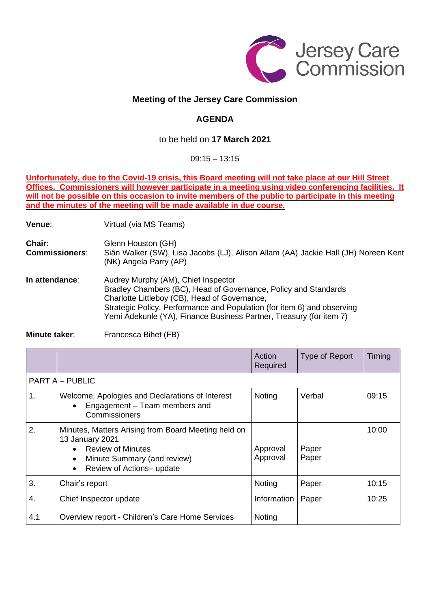

## **Meeting of the Jersey Care Commission**

## **AGENDA**

## to be held on **17 March 2021**

09:15 – 13:15

**Unfortunately, due to the Covid-19 crisis, this Board meeting will not take place at our Hill Street Offices. Commissioners will however participate in a meeting using video conferencing facilities. It** will not be possible on this occasion to invite members of the public to participate in this meeting **and the minutes of the meeting will be made available in due course.**

**Venue:** Virtual (via MS Teams)

**Chair:** Glenn Houston (GH) **Commissioners**: Siân Walker (SW), Lisa Jacobs (LJ), Alison Allam (AA) Jackie Hall (JH) Noreen Kent (NK) Angela Parry (AP) **In attendance:** Audrey Murphy (AM), Chief Inspector Bradley Chambers (BC), Head of Governance, Policy and Standards

Charlotte Littleboy (CB), Head of Governance, Strategic Policy, Performance and Population (for item 6) and observing Yemi Adekunle (YA), Finance Business Partner, Treasury (for item 7)

**Minute taker:** Francesca Bihet (FB)

|                        |                                                                                                                                                                                                       | Action<br>Required   | Type of Report | Timing |  |  |  |
|------------------------|-------------------------------------------------------------------------------------------------------------------------------------------------------------------------------------------------------|----------------------|----------------|--------|--|--|--|
| <b>PART A - PUBLIC</b> |                                                                                                                                                                                                       |                      |                |        |  |  |  |
| 1.                     | Welcome, Apologies and Declarations of Interest<br>Engagement - Team members and<br>$\bullet$<br>Commissioners                                                                                        | Noting               | Verbal         | 09:15  |  |  |  |
| 2.                     | Minutes, Matters Arising from Board Meeting held on<br>13 January 2021<br><b>Review of Minutes</b><br>$\bullet$<br>Minute Summary (and review)<br>$\bullet$<br>Review of Actions- update<br>$\bullet$ | Approval<br>Approval | Paper<br>Paper | 10:00  |  |  |  |
| 3.                     | Chair's report                                                                                                                                                                                        | Noting               | Paper          | 10:15  |  |  |  |
| 4.                     | Chief Inspector update                                                                                                                                                                                | Information          | Paper          | 10:25  |  |  |  |
| 4.1                    | Overview report - Children's Care Home Services                                                                                                                                                       | Noting               |                |        |  |  |  |